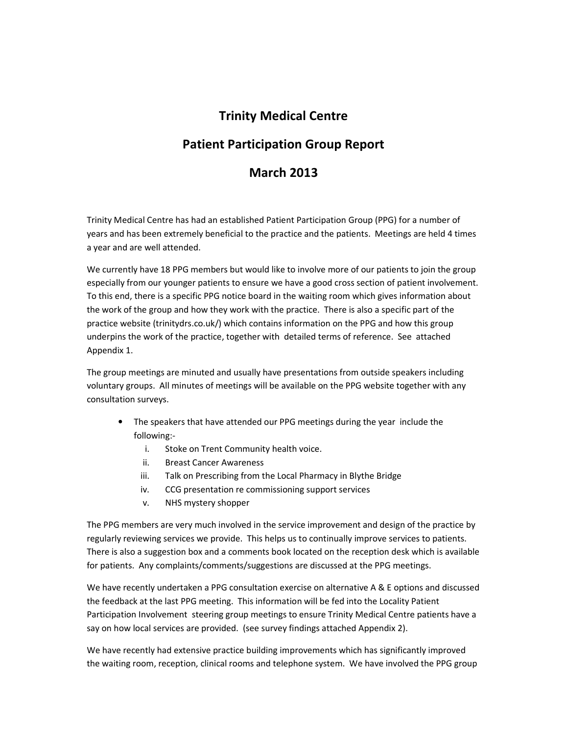## Trinity Medical Centre

## Patient Participation Group Report

### March 2013

Trinity Medical Centre has had an established Patient Participation Group (PPG) for a number of years and has been extremely beneficial to the practice and the patients. Meetings are held 4 times a year and are well attended.

We currently have 18 PPG members but would like to involve more of our patients to join the group especially from our younger patients to ensure we have a good cross section of patient involvement. To this end, there is a specific PPG notice board in the waiting room which gives information about the work of the group and how they work with the practice. There is also a specific part of the practice website (trinitydrs.co.uk/) which contains information on the PPG and how this group underpins the work of the practice, together with detailed terms of reference. See attached Appendix 1.

The group meetings are minuted and usually have presentations from outside speakers including voluntary groups. All minutes of meetings will be available on the PPG website together with any consultation surveys.

- The speakers that have attended our PPG meetings during the year include the following:
	- i. Stoke on Trent Community health voice.
	- ii. Breast Cancer Awareness
	- iii. Talk on Prescribing from the Local Pharmacy in Blythe Bridge
	- iv. CCG presentation re commissioning support services
	- v. NHS mystery shopper

The PPG members are very much involved in the service improvement and design of the practice by regularly reviewing services we provide. This helps us to continually improve services to patients. There is also a suggestion box and a comments book located on the reception desk which is available for patients. Any complaints/comments/suggestions are discussed at the PPG meetings.

We have recently undertaken a PPG consultation exercise on alternative A & E options and discussed the feedback at the last PPG meeting. This information will be fed into the Locality Patient Participation Involvement steering group meetings to ensure Trinity Medical Centre patients have a say on how local services are provided. (see survey findings attached Appendix 2).

We have recently had extensive practice building improvements which has significantly improved the waiting room, reception, clinical rooms and telephone system. We have involved the PPG group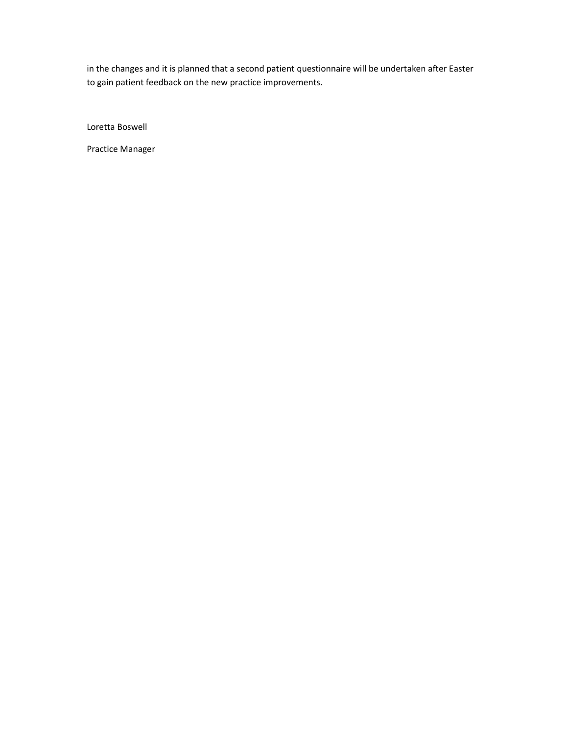in the changes and it is planned that a second patient questionnaire will be undertaken after Easter to gain patient feedback on the new practice improvements.

Loretta Boswell

Practice Manager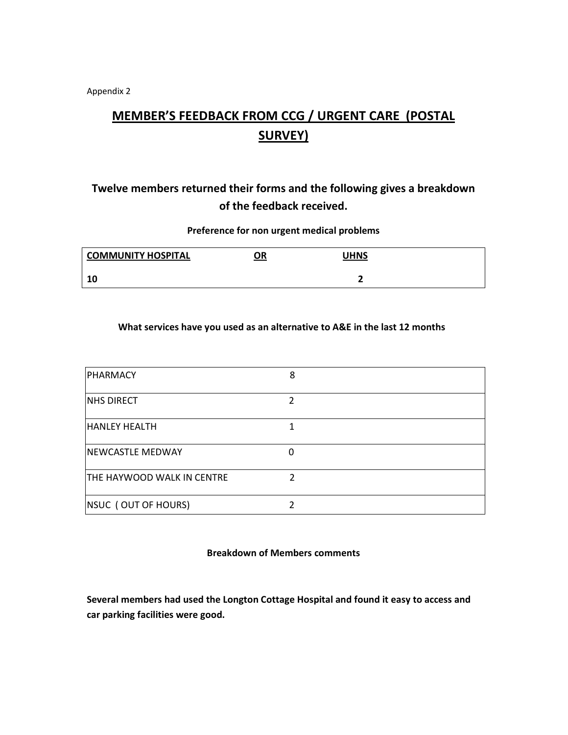Appendix 2

# MEMBER'S FEEDBACK FROM CCG / URGENT CARE (POSTAL SURVEY)

## Twelve members returned their forms and the following gives a breakdown of the feedback received.

### Preference for non urgent medical problems

| <b>COMMUNITY HOSPITAL</b> | <u>OR</u> | UHNS |  |
|---------------------------|-----------|------|--|
| 10                        |           |      |  |

### What services have you used as an alternative to A&E in the last 12 months

| PHARMACY                          | 8 |
|-----------------------------------|---|
| <b>NHS DIRECT</b>                 | 2 |
| <b>HANLEY HEALTH</b>              | 1 |
| <b>NEWCASTLE MEDWAY</b>           | 0 |
| <b>THE HAYWOOD WALK IN CENTRE</b> | າ |
| NSUC (OUT OF HOURS)               |   |

### Breakdown of Members comments

Several members had used the Longton Cottage Hospital and found it easy to access and car parking facilities were good.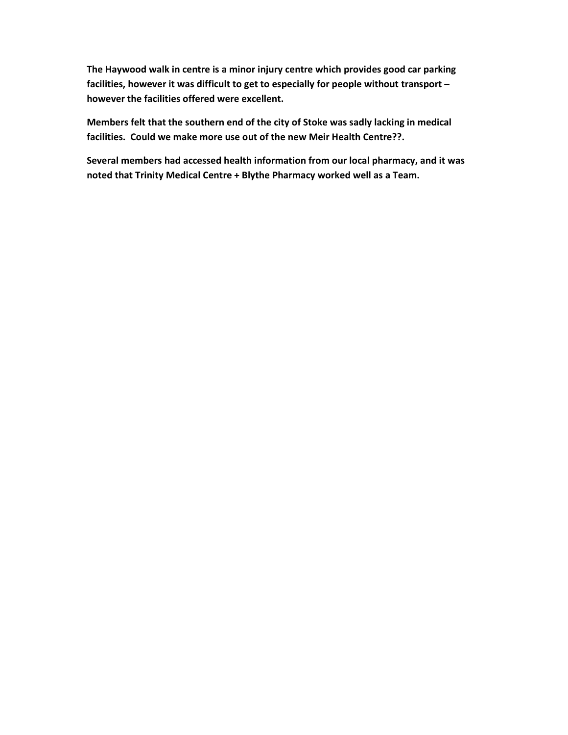The Haywood walk in centre is a minor injury centre which provides good car parking facilities, however it was difficult to get to especially for people without transport – however the facilities offered were excellent.

Members felt that the southern end of the city of Stoke was sadly lacking in medical facilities. Could we make more use out of the new Meir Health Centre??.

Several members had accessed health information from our local pharmacy, and it was noted that Trinity Medical Centre + Blythe Pharmacy worked well as a Team.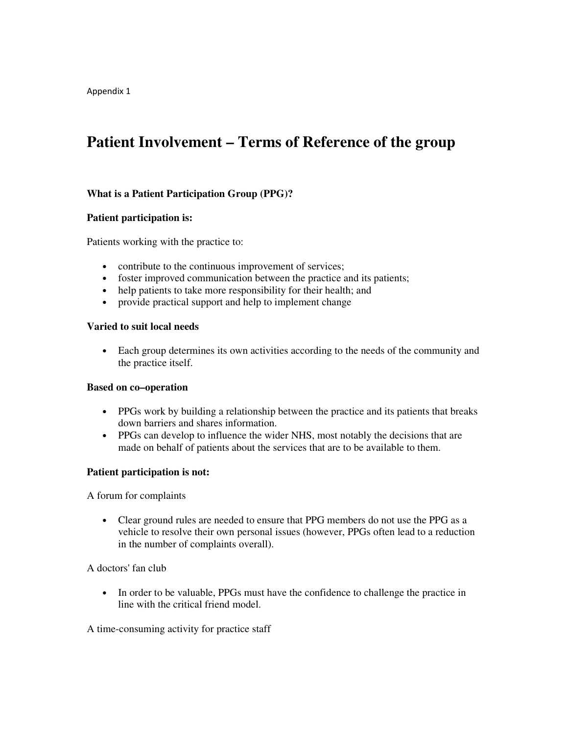Appendix 1

## **Patient Involvement – Terms of Reference of the group**

### **What is a Patient Participation Group (PPG)?**

### **Patient participation is:**

Patients working with the practice to:

- contribute to the continuous improvement of services;
- foster improved communication between the practice and its patients;
- help patients to take more responsibility for their health; and
- provide practical support and help to implement change

### **Varied to suit local needs**

• Each group determines its own activities according to the needs of the community and the practice itself.

#### **Based on co–operation**

- PPGs work by building a relationship between the practice and its patients that breaks down barriers and shares information.
- PPGs can develop to influence the wider NHS, most notably the decisions that are made on behalf of patients about the services that are to be available to them.

### **Patient participation is not:**

A forum for complaints

• Clear ground rules are needed to ensure that PPG members do not use the PPG as a vehicle to resolve their own personal issues (however, PPGs often lead to a reduction in the number of complaints overall).

A doctors' fan club

• In order to be valuable, PPGs must have the confidence to challenge the practice in line with the critical friend model.

A time-consuming activity for practice staff